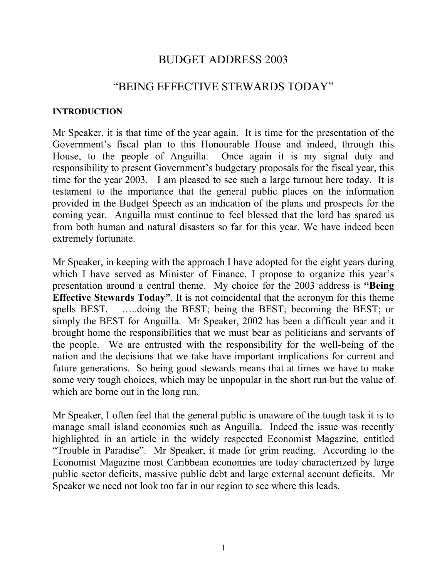# BUDGET ADDRESS 2003

# "BEING EFFECTIVE STEWARDS TODAY"

#### **INTRODUCTION**

Mr Speaker, it is that time of the year again. It is time for the presentation of the Government's fiscal plan to this Honourable House and indeed, through this House, to the people of Anguilla. Once again it is my signal duty and responsibility to present Government's budgetary proposals for the fiscal year, this time for the year 2003. I am pleased to see such a large turnout here today. It is testament to the importance that the general public places on the information provided in the Budget Speech as an indication of the plans and prospects for the coming year. Anguilla must continue to feel blessed that the lord has spared us from both human and natural disasters so far for this year. We have indeed been extremely fortunate.

Mr Speaker, in keeping with the approach I have adopted for the eight years during which I have served as Minister of Finance, I propose to organize this year's presentation around a central theme. My choice for the 2003 address is **"Being Effective Stewards Today"**. It is not coincidental that the acronym for this theme spells BEST. …..doing the BEST; being the BEST; becoming the BEST; or simply the BEST for Anguilla. Mr Speaker, 2002 has been a difficult year and it brought home the responsibilities that we must bear as politicians and servants of the people. We are entrusted with the responsibility for the well-being of the nation and the decisions that we take have important implications for current and future generations. So being good stewards means that at times we have to make some very tough choices, which may be unpopular in the short run but the value of which are borne out in the long run.

Mr Speaker, I often feel that the general public is unaware of the tough task it is to manage small island economies such as Anguilla. Indeed the issue was recently highlighted in an article in the widely respected Economist Magazine, entitled "Trouble in Paradise". Mr Speaker, it made for grim reading. According to the Economist Magazine most Caribbean economies are today characterized by large public sector deficits, massive public debt and large external account deficits. Mr Speaker we need not look too far in our region to see where this leads.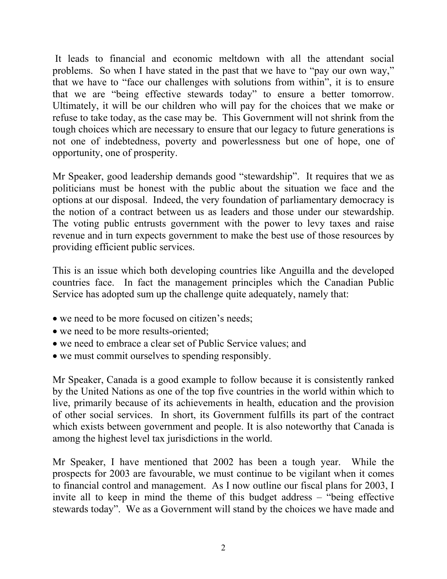It leads to financial and economic meltdown with all the attendant social problems. So when I have stated in the past that we have to "pay our own way," that we have to "face our challenges with solutions from within", it is to ensure that we are "being effective stewards today" to ensure a better tomorrow. Ultimately, it will be our children who will pay for the choices that we make or refuse to take today, as the case may be. This Government will not shrink from the tough choices which are necessary to ensure that our legacy to future generations is not one of indebtedness, poverty and powerlessness but one of hope, one of opportunity, one of prosperity.

Mr Speaker, good leadership demands good "stewardship". It requires that we as politicians must be honest with the public about the situation we face and the options at our disposal. Indeed, the very foundation of parliamentary democracy is the notion of a contract between us as leaders and those under our stewardship. The voting public entrusts government with the power to levy taxes and raise revenue and in turn expects government to make the best use of those resources by providing efficient public services.

This is an issue which both developing countries like Anguilla and the developed countries face. In fact the management principles which the Canadian Public Service has adopted sum up the challenge quite adequately, namely that:

- we need to be more focused on citizen's needs;
- we need to be more results-oriented;
- we need to embrace a clear set of Public Service values; and
- we must commit ourselves to spending responsibly.

Mr Speaker, Canada is a good example to follow because it is consistently ranked by the United Nations as one of the top five countries in the world within which to live, primarily because of its achievements in health, education and the provision of other social services. In short, its Government fulfills its part of the contract which exists between government and people. It is also noteworthy that Canada is among the highest level tax jurisdictions in the world.

Mr Speaker, I have mentioned that 2002 has been a tough year. While the prospects for 2003 are favourable, we must continue to be vigilant when it comes to financial control and management. As I now outline our fiscal plans for 2003, I invite all to keep in mind the theme of this budget address – "being effective stewards today". We as a Government will stand by the choices we have made and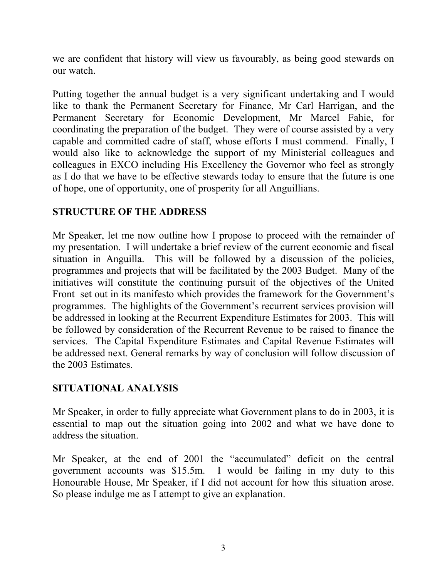we are confident that history will view us favourably, as being good stewards on our watch.

Putting together the annual budget is a very significant undertaking and I would like to thank the Permanent Secretary for Finance, Mr Carl Harrigan, and the Permanent Secretary for Economic Development, Mr Marcel Fahie, for coordinating the preparation of the budget. They were of course assisted by a very capable and committed cadre of staff, whose efforts I must commend. Finally, I would also like to acknowledge the support of my Ministerial colleagues and colleagues in EXCO including His Excellency the Governor who feel as strongly as I do that we have to be effective stewards today to ensure that the future is one of hope, one of opportunity, one of prosperity for all Anguillians.

### **STRUCTURE OF THE ADDRESS**

Mr Speaker, let me now outline how I propose to proceed with the remainder of my presentation. I will undertake a brief review of the current economic and fiscal situation in Anguilla. This will be followed by a discussion of the policies, programmes and projects that will be facilitated by the 2003 Budget. Many of the initiatives will constitute the continuing pursuit of the objectives of the United Front set out in its manifesto which provides the framework for the Government's programmes. The highlights of the Government's recurrent services provision will be addressed in looking at the Recurrent Expenditure Estimates for 2003. This will be followed by consideration of the Recurrent Revenue to be raised to finance the services. The Capital Expenditure Estimates and Capital Revenue Estimates will be addressed next. General remarks by way of conclusion will follow discussion of the 2003 Estimates.

### **SITUATIONAL ANALYSIS**

Mr Speaker, in order to fully appreciate what Government plans to do in 2003, it is essential to map out the situation going into 2002 and what we have done to address the situation.

Mr Speaker, at the end of 2001 the "accumulated" deficit on the central government accounts was \$15.5m. I would be failing in my duty to this Honourable House, Mr Speaker, if I did not account for how this situation arose. So please indulge me as I attempt to give an explanation.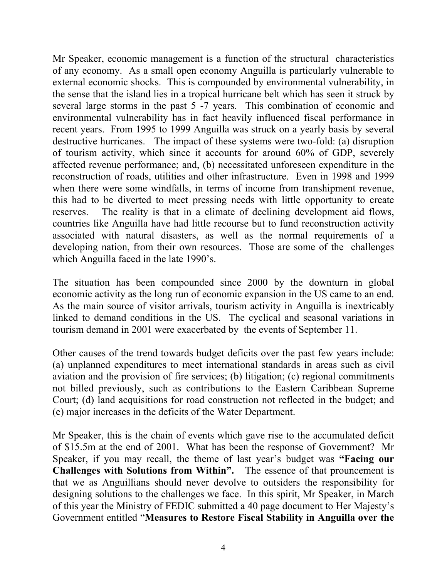Mr Speaker, economic management is a function of the structural characteristics of any economy. As a small open economy Anguilla is particularly vulnerable to external economic shocks. This is compounded by environmental vulnerability, in the sense that the island lies in a tropical hurricane belt which has seen it struck by several large storms in the past 5 -7 years. This combination of economic and environmental vulnerability has in fact heavily influenced fiscal performance in recent years. From 1995 to 1999 Anguilla was struck on a yearly basis by several destructive hurricanes. The impact of these systems were two-fold: (a) disruption of tourism activity, which since it accounts for around 60% of GDP, severely affected revenue performance; and, (b) necessitated unforeseen expenditure in the reconstruction of roads, utilities and other infrastructure. Even in 1998 and 1999 when there were some windfalls, in terms of income from transhipment revenue, this had to be diverted to meet pressing needs with little opportunity to create reserves. The reality is that in a climate of declining development aid flows, countries like Anguilla have had little recourse but to fund reconstruction activity associated with natural disasters, as well as the normal requirements of a developing nation, from their own resources. Those are some of the challenges which Anguilla faced in the late 1990's.

The situation has been compounded since 2000 by the downturn in global economic activity as the long run of economic expansion in the US came to an end. As the main source of visitor arrivals, tourism activity in Anguilla is inextricably linked to demand conditions in the US. The cyclical and seasonal variations in tourism demand in 2001 were exacerbated by the events of September 11.

Other causes of the trend towards budget deficits over the past few years include: (a) unplanned expenditures to meet international standards in areas such as civil aviation and the provision of fire services; (b) litigation; (c) regional commitments not billed previously, such as contributions to the Eastern Caribbean Supreme Court; (d) land acquisitions for road construction not reflected in the budget; and (e) major increases in the deficits of the Water Department.

Mr Speaker, this is the chain of events which gave rise to the accumulated deficit of \$15.5m at the end of 2001. What has been the response of Government? Mr Speaker, if you may recall, the theme of last year's budget was **"Facing our Challenges with Solutions from Within".** The essence of that prouncement is that we as Anguillians should never devolve to outsiders the responsibility for designing solutions to the challenges we face. In this spirit, Mr Speaker, in March of this year the Ministry of FEDIC submitted a 40 page document to Her Majesty's Government entitled "**Measures to Restore Fiscal Stability in Anguilla over the**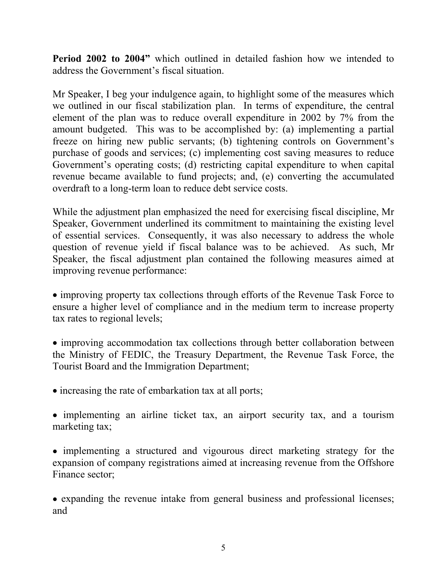**Period 2002 to 2004"** which outlined in detailed fashion how we intended to address the Government's fiscal situation.

Mr Speaker, I beg your indulgence again, to highlight some of the measures which we outlined in our fiscal stabilization plan. In terms of expenditure, the central element of the plan was to reduce overall expenditure in 2002 by 7% from the amount budgeted. This was to be accomplished by: (a) implementing a partial freeze on hiring new public servants; (b) tightening controls on Government's purchase of goods and services; (c) implementing cost saving measures to reduce Government's operating costs; (d) restricting capital expenditure to when capital revenue became available to fund projects; and, (e) converting the accumulated overdraft to a long-term loan to reduce debt service costs.

While the adjustment plan emphasized the need for exercising fiscal discipline, Mr Speaker, Government underlined its commitment to maintaining the existing level of essential services. Consequently, it was also necessary to address the whole question of revenue yield if fiscal balance was to be achieved. As such, Mr Speaker, the fiscal adjustment plan contained the following measures aimed at improving revenue performance:

• improving property tax collections through efforts of the Revenue Task Force to ensure a higher level of compliance and in the medium term to increase property tax rates to regional levels;

• improving accommodation tax collections through better collaboration between the Ministry of FEDIC, the Treasury Department, the Revenue Task Force, the Tourist Board and the Immigration Department;

• increasing the rate of embarkation tax at all ports;

• implementing an airline ticket tax, an airport security tax, and a tourism marketing tax;

• implementing a structured and vigourous direct marketing strategy for the expansion of company registrations aimed at increasing revenue from the Offshore Finance sector;

• expanding the revenue intake from general business and professional licenses; and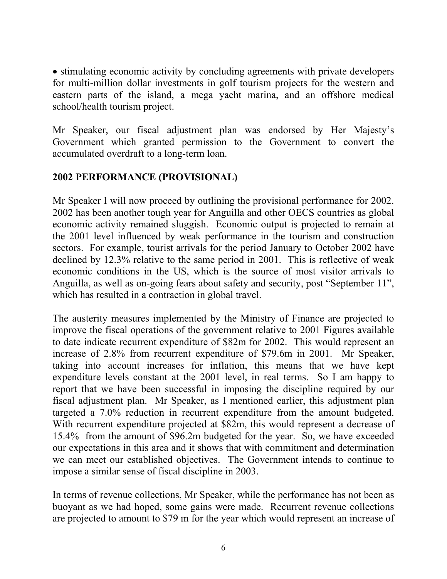• stimulating economic activity by concluding agreements with private developers for multi-million dollar investments in golf tourism projects for the western and eastern parts of the island, a mega yacht marina, and an offshore medical school/health tourism project.

Mr Speaker, our fiscal adjustment plan was endorsed by Her Majesty's Government which granted permission to the Government to convert the accumulated overdraft to a long-term loan.

#### **2002 PERFORMANCE (PROVISIONAL)**

Mr Speaker I will now proceed by outlining the provisional performance for 2002. 2002 has been another tough year for Anguilla and other OECS countries as global economic activity remained sluggish. Economic output is projected to remain at the 2001 level influenced by weak performance in the tourism and construction sectors. For example, tourist arrivals for the period January to October 2002 have declined by 12.3% relative to the same period in 2001. This is reflective of weak economic conditions in the US, which is the source of most visitor arrivals to Anguilla, as well as on-going fears about safety and security, post "September 11", which has resulted in a contraction in global travel.

The austerity measures implemented by the Ministry of Finance are projected to improve the fiscal operations of the government relative to 2001 Figures available to date indicate recurrent expenditure of \$82m for 2002. This would represent an increase of 2.8% from recurrent expenditure of \$79.6m in 2001. Mr Speaker, taking into account increases for inflation, this means that we have kept expenditure levels constant at the 2001 level, in real terms. So I am happy to report that we have been successful in imposing the discipline required by our fiscal adjustment plan. Mr Speaker, as I mentioned earlier, this adjustment plan targeted a 7.0% reduction in recurrent expenditure from the amount budgeted. With recurrent expenditure projected at \$82m, this would represent a decrease of 15.4% from the amount of \$96.2m budgeted for the year. So, we have exceeded our expectations in this area and it shows that with commitment and determination we can meet our established objectives. The Government intends to continue to impose a similar sense of fiscal discipline in 2003.

In terms of revenue collections, Mr Speaker, while the performance has not been as buoyant as we had hoped, some gains were made. Recurrent revenue collections are projected to amount to \$79 m for the year which would represent an increase of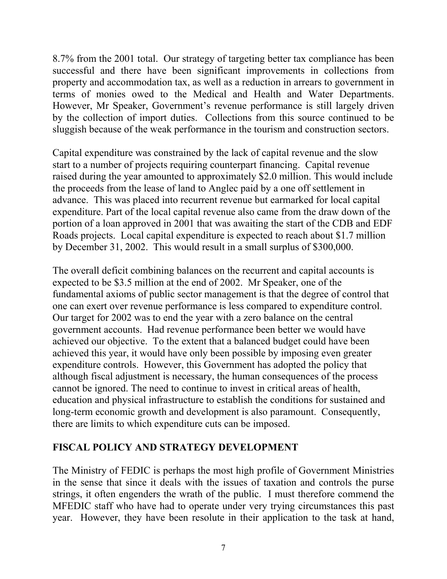8.7% from the 2001 total. Our strategy of targeting better tax compliance has been successful and there have been significant improvements in collections from property and accommodation tax, as well as a reduction in arrears to government in terms of monies owed to the Medical and Health and Water Departments. However, Mr Speaker, Government's revenue performance is still largely driven by the collection of import duties. Collections from this source continued to be sluggish because of the weak performance in the tourism and construction sectors.

Capital expenditure was constrained by the lack of capital revenue and the slow start to a number of projects requiring counterpart financing. Capital revenue raised during the year amounted to approximately \$2.0 million. This would include the proceeds from the lease of land to Anglec paid by a one off settlement in advance. This was placed into recurrent revenue but earmarked for local capital expenditure. Part of the local capital revenue also came from the draw down of the portion of a loan approved in 2001 that was awaiting the start of the CDB and EDF Roads projects. Local capital expenditure is expected to reach about \$1.7 million by December 31, 2002. This would result in a small surplus of \$300,000.

The overall deficit combining balances on the recurrent and capital accounts is expected to be \$3.5 million at the end of 2002. Mr Speaker, one of the fundamental axioms of public sector management is that the degree of control that one can exert over revenue performance is less compared to expenditure control. Our target for 2002 was to end the year with a zero balance on the central government accounts. Had revenue performance been better we would have achieved our objective. To the extent that a balanced budget could have been achieved this year, it would have only been possible by imposing even greater expenditure controls. However, this Government has adopted the policy that although fiscal adjustment is necessary, the human consequences of the process cannot be ignored. The need to continue to invest in critical areas of health, education and physical infrastructure to establish the conditions for sustained and long-term economic growth and development is also paramount. Consequently, there are limits to which expenditure cuts can be imposed.

# **FISCAL POLICY AND STRATEGY DEVELOPMENT**

The Ministry of FEDIC is perhaps the most high profile of Government Ministries in the sense that since it deals with the issues of taxation and controls the purse strings, it often engenders the wrath of the public. I must therefore commend the MFEDIC staff who have had to operate under very trying circumstances this past year. However, they have been resolute in their application to the task at hand,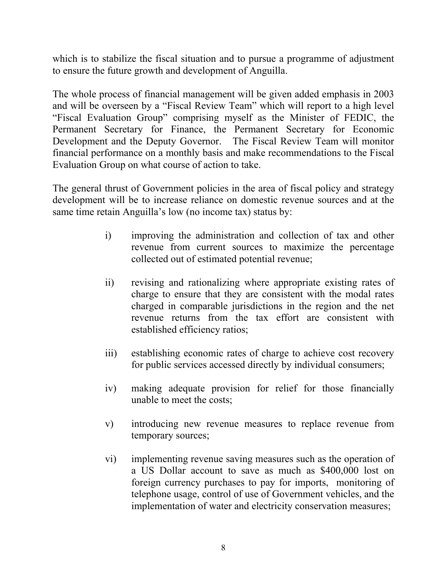which is to stabilize the fiscal situation and to pursue a programme of adjustment to ensure the future growth and development of Anguilla.

The whole process of financial management will be given added emphasis in 2003 and will be overseen by a "Fiscal Review Team" which will report to a high level "Fiscal Evaluation Group" comprising myself as the Minister of FEDIC, the Permanent Secretary for Finance, the Permanent Secretary for Economic Development and the Deputy Governor. The Fiscal Review Team will monitor financial performance on a monthly basis and make recommendations to the Fiscal Evaluation Group on what course of action to take.

The general thrust of Government policies in the area of fiscal policy and strategy development will be to increase reliance on domestic revenue sources and at the same time retain Anguilla's low (no income tax) status by:

- i) improving the administration and collection of tax and other revenue from current sources to maximize the percentage collected out of estimated potential revenue;
- ii) revising and rationalizing where appropriate existing rates of charge to ensure that they are consistent with the modal rates charged in comparable jurisdictions in the region and the net revenue returns from the tax effort are consistent with established efficiency ratios;
- iii) establishing economic rates of charge to achieve cost recovery for public services accessed directly by individual consumers;
- iv) making adequate provision for relief for those financially unable to meet the costs;
- v) introducing new revenue measures to replace revenue from temporary sources;
- vi) implementing revenue saving measures such as the operation of a US Dollar account to save as much as \$400,000 lost on foreign currency purchases to pay for imports, monitoring of telephone usage, control of use of Government vehicles, and the implementation of water and electricity conservation measures;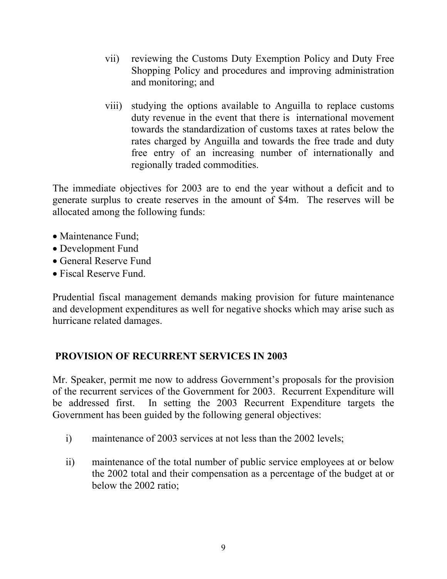- vii) reviewing the Customs Duty Exemption Policy and Duty Free Shopping Policy and procedures and improving administration and monitoring; and
- viii) studying the options available to Anguilla to replace customs duty revenue in the event that there is international movement towards the standardization of customs taxes at rates below the rates charged by Anguilla and towards the free trade and duty free entry of an increasing number of internationally and regionally traded commodities.

The immediate objectives for 2003 are to end the year without a deficit and to generate surplus to create reserves in the amount of \$4m. The reserves will be allocated among the following funds:

- Maintenance Fund;
- Development Fund
- General Reserve Fund
- Fiscal Reserve Fund.

Prudential fiscal management demands making provision for future maintenance and development expenditures as well for negative shocks which may arise such as hurricane related damages.

### **PROVISION OF RECURRENT SERVICES IN 2003**

Mr. Speaker, permit me now to address Government's proposals for the provision of the recurrent services of the Government for 2003. Recurrent Expenditure will be addressed first. In setting the 2003 Recurrent Expenditure targets the Government has been guided by the following general objectives:

- i) maintenance of 2003 services at not less than the 2002 levels;
- ii) maintenance of the total number of public service employees at or below the 2002 total and their compensation as a percentage of the budget at or below the 2002 ratio;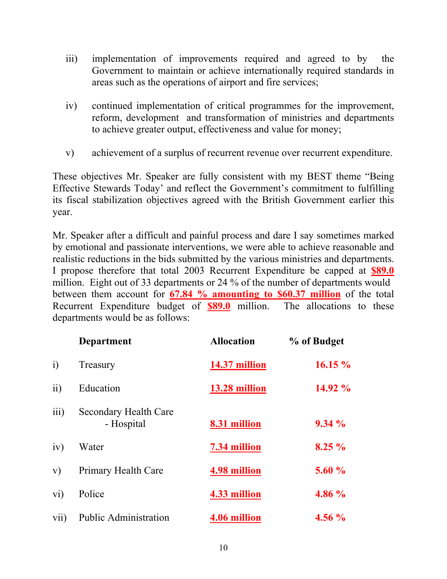- iii) implementation of improvements required and agreed to by the Government to maintain or achieve internationally required standards in areas such as the operations of airport and fire services;
- iv) continued implementation of critical programmes for the improvement, reform, development and transformation of ministries and departments to achieve greater output, effectiveness and value for money;
- v) achievement of a surplus of recurrent revenue over recurrent expenditure.

These objectives Mr. Speaker are fully consistent with my BEST theme "Being Effective Stewards Today' and reflect the Government's commitment to fulfilling its fiscal stabilization objectives agreed with the British Government earlier this year.

Mr. Speaker after a difficult and painful process and dare I say sometimes marked by emotional and passionate interventions, we were able to achieve reasonable and realistic reductions in the bids submitted by the various ministries and departments. I propose therefore that total 2003 Recurrent Expenditure be capped at **\$89.0** million. Eight out of 33 departments or 24 % of the number of departments would between them account for **67.84 % amounting to \$60.37 million** of the total Recurrent Expenditure budget of **\$89.0** million. The allocations to these departments would be as follows:

|                  | <b>Department</b>                          | <b>Allocation</b> | % of Budget |
|------------------|--------------------------------------------|-------------------|-------------|
| $\overline{1}$   | Treasury                                   | 14.37 million     | 16.15%      |
| $\overline{11}$  | Education                                  | 13.28 million     | 14.92 %     |
| $\overline{iii}$ | <b>Secondary Health Care</b><br>- Hospital | 8.31 million      | 9.34%       |
| iv)              | Water                                      | 7.34 million      | $8.25\%$    |
| V)               | <b>Primary Health Care</b>                 | 4.98 million      | 5.60%       |
| vi)              | Police                                     | 4.33 million      | 4.86 %      |
| vii)             | Public Administration                      | 4.06 million      | $4.56\%$    |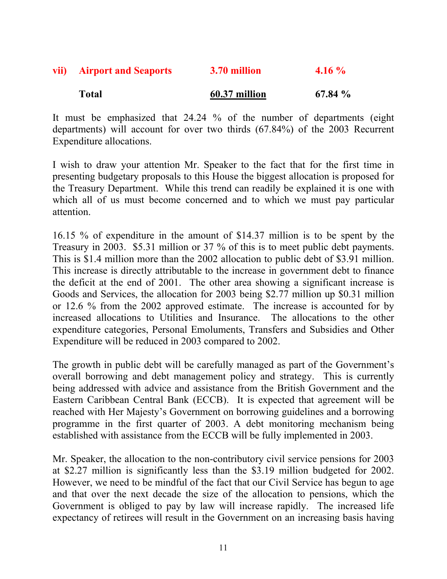| vii) Airport and Seaports | 3.70 million | $4.16\%$ |
|---------------------------|--------------|----------|
|                           |              |          |

# **Total 60.37 million 67.84 %**

It must be emphasized that 24.24 % of the number of departments (eight departments) will account for over two thirds (67.84%) of the 2003 Recurrent Expenditure allocations.

I wish to draw your attention Mr. Speaker to the fact that for the first time in presenting budgetary proposals to this House the biggest allocation is proposed for the Treasury Department. While this trend can readily be explained it is one with which all of us must become concerned and to which we must pay particular attention.

16.15 % of expenditure in the amount of \$14.37 million is to be spent by the Treasury in 2003. \$5.31 million or 37 % of this is to meet public debt payments. This is \$1.4 million more than the 2002 allocation to public debt of \$3.91 million. This increase is directly attributable to the increase in government debt to finance the deficit at the end of 2001. The other area showing a significant increase is Goods and Services, the allocation for 2003 being \$2.77 million up \$0.31 million or 12.6 % from the 2002 approved estimate. The increase is accounted for by increased allocations to Utilities and Insurance. The allocations to the other expenditure categories, Personal Emoluments, Transfers and Subsidies and Other Expenditure will be reduced in 2003 compared to 2002.

The growth in public debt will be carefully managed as part of the Government's overall borrowing and debt management policy and strategy. This is currently being addressed with advice and assistance from the British Government and the Eastern Caribbean Central Bank (ECCB). It is expected that agreement will be reached with Her Majesty's Government on borrowing guidelines and a borrowing programme in the first quarter of 2003. A debt monitoring mechanism being established with assistance from the ECCB will be fully implemented in 2003.

Mr. Speaker, the allocation to the non-contributory civil service pensions for 2003 at \$2.27 million is significantly less than the \$3.19 million budgeted for 2002. However, we need to be mindful of the fact that our Civil Service has begun to age and that over the next decade the size of the allocation to pensions, which the Government is obliged to pay by law will increase rapidly. The increased life expectancy of retirees will result in the Government on an increasing basis having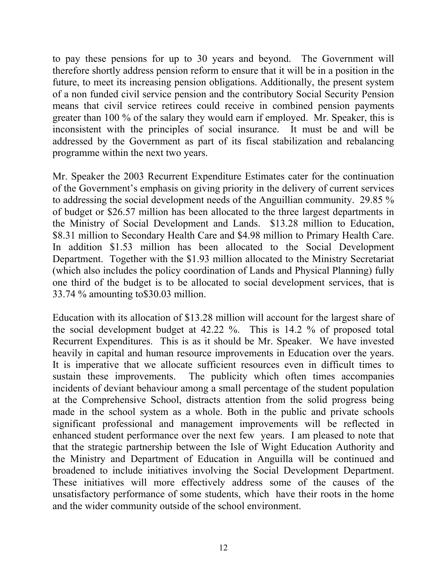to pay these pensions for up to 30 years and beyond. The Government will therefore shortly address pension reform to ensure that it will be in a position in the future, to meet its increasing pension obligations. Additionally, the present system of a non funded civil service pension and the contributory Social Security Pension means that civil service retirees could receive in combined pension payments greater than 100 % of the salary they would earn if employed. Mr. Speaker, this is inconsistent with the principles of social insurance. It must be and will be addressed by the Government as part of its fiscal stabilization and rebalancing programme within the next two years.

Mr. Speaker the 2003 Recurrent Expenditure Estimates cater for the continuation of the Government's emphasis on giving priority in the delivery of current services to addressing the social development needs of the Anguillian community. 29.85 % of budget or \$26.57 million has been allocated to the three largest departments in the Ministry of Social Development and Lands. \$13.28 million to Education, \$8.31 million to Secondary Health Care and \$4.98 million to Primary Health Care. In addition \$1.53 million has been allocated to the Social Development Department. Together with the \$1.93 million allocated to the Ministry Secretariat (which also includes the policy coordination of Lands and Physical Planning) fully one third of the budget is to be allocated to social development services, that is 33.74 % amounting to\$30.03 million.

Education with its allocation of \$13.28 million will account for the largest share of the social development budget at 42.22 %. This is 14.2 % of proposed total Recurrent Expenditures. This is as it should be Mr. Speaker. We have invested heavily in capital and human resource improvements in Education over the years. It is imperative that we allocate sufficient resources even in difficult times to sustain these improvements. The publicity which often times accompanies incidents of deviant behaviour among a small percentage of the student population at the Comprehensive School, distracts attention from the solid progress being made in the school system as a whole. Both in the public and private schools significant professional and management improvements will be reflected in enhanced student performance over the next few years. I am pleased to note that that the strategic partnership between the Isle of Wight Education Authority and the Ministry and Department of Education in Anguilla will be continued and broadened to include initiatives involving the Social Development Department. These initiatives will more effectively address some of the causes of the unsatisfactory performance of some students, which have their roots in the home and the wider community outside of the school environment.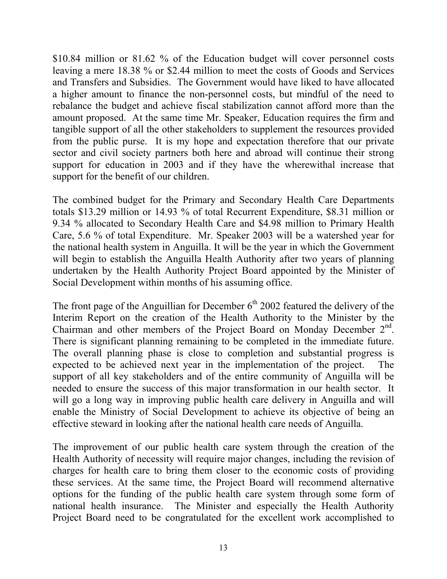\$10.84 million or 81.62 % of the Education budget will cover personnel costs leaving a mere 18.38 % or \$2.44 million to meet the costs of Goods and Services and Transfers and Subsidies. The Government would have liked to have allocated a higher amount to finance the non-personnel costs, but mindful of the need to rebalance the budget and achieve fiscal stabilization cannot afford more than the amount proposed. At the same time Mr. Speaker, Education requires the firm and tangible support of all the other stakeholders to supplement the resources provided from the public purse. It is my hope and expectation therefore that our private sector and civil society partners both here and abroad will continue their strong support for education in 2003 and if they have the wherewithal increase that support for the benefit of our children.

The combined budget for the Primary and Secondary Health Care Departments totals \$13.29 million or 14.93 % of total Recurrent Expenditure, \$8.31 million or 9.34 % allocated to Secondary Health Care and \$4.98 million to Primary Health Care, 5.6 % of total Expenditure. Mr. Speaker 2003 will be a watershed year for the national health system in Anguilla. It will be the year in which the Government will begin to establish the Anguilla Health Authority after two years of planning undertaken by the Health Authority Project Board appointed by the Minister of Social Development within months of his assuming office.

The front page of the Anguillian for December  $6<sup>th</sup>$  2002 featured the delivery of the Interim Report on the creation of the Health Authority to the Minister by the Chairman and other members of the Project Board on Monday December 2nd. There is significant planning remaining to be completed in the immediate future. The overall planning phase is close to completion and substantial progress is expected to be achieved next year in the implementation of the project. The support of all key stakeholders and of the entire community of Anguilla will be needed to ensure the success of this major transformation in our health sector. It will go a long way in improving public health care delivery in Anguilla and will enable the Ministry of Social Development to achieve its objective of being an effective steward in looking after the national health care needs of Anguilla.

The improvement of our public health care system through the creation of the Health Authority of necessity will require major changes, including the revision of charges for health care to bring them closer to the economic costs of providing these services. At the same time, the Project Board will recommend alternative options for the funding of the public health care system through some form of national health insurance. The Minister and especially the Health Authority Project Board need to be congratulated for the excellent work accomplished to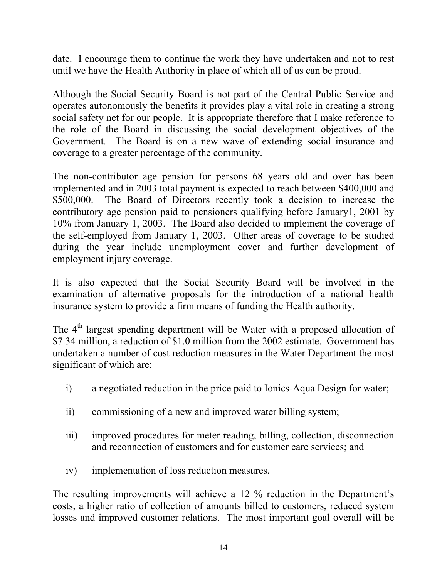date. I encourage them to continue the work they have undertaken and not to rest until we have the Health Authority in place of which all of us can be proud.

Although the Social Security Board is not part of the Central Public Service and operates autonomously the benefits it provides play a vital role in creating a strong social safety net for our people. It is appropriate therefore that I make reference to the role of the Board in discussing the social development objectives of the Government. The Board is on a new wave of extending social insurance and coverage to a greater percentage of the community.

The non-contributor age pension for persons 68 years old and over has been implemented and in 2003 total payment is expected to reach between \$400,000 and \$500,000. The Board of Directors recently took a decision to increase the contributory age pension paid to pensioners qualifying before January1, 2001 by 10% from January 1, 2003. The Board also decided to implement the coverage of the self-employed from January 1, 2003. Other areas of coverage to be studied during the year include unemployment cover and further development of employment injury coverage.

It is also expected that the Social Security Board will be involved in the examination of alternative proposals for the introduction of a national health insurance system to provide a firm means of funding the Health authority.

The  $4<sup>th</sup>$  largest spending department will be Water with a proposed allocation of \$7.34 million, a reduction of \$1.0 million from the 2002 estimate. Government has undertaken a number of cost reduction measures in the Water Department the most significant of which are:

- i) a negotiated reduction in the price paid to Ionics-Aqua Design for water;
- ii) commissioning of a new and improved water billing system;
- iii) improved procedures for meter reading, billing, collection, disconnection and reconnection of customers and for customer care services; and
- iv) implementation of loss reduction measures.

The resulting improvements will achieve a 12 % reduction in the Department's costs, a higher ratio of collection of amounts billed to customers, reduced system losses and improved customer relations. The most important goal overall will be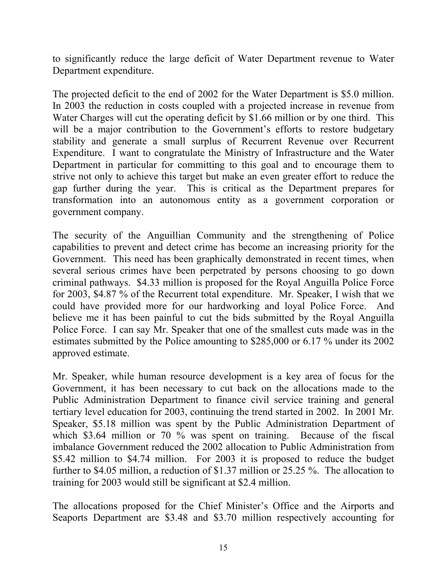to significantly reduce the large deficit of Water Department revenue to Water Department expenditure.

The projected deficit to the end of 2002 for the Water Department is \$5.0 million. In 2003 the reduction in costs coupled with a projected increase in revenue from Water Charges will cut the operating deficit by \$1.66 million or by one third. This will be a major contribution to the Government's efforts to restore budgetary stability and generate a small surplus of Recurrent Revenue over Recurrent Expenditure. I want to congratulate the Ministry of Infrastructure and the Water Department in particular for committing to this goal and to encourage them to strive not only to achieve this target but make an even greater effort to reduce the gap further during the year. This is critical as the Department prepares for transformation into an autonomous entity as a government corporation or government company.

The security of the Anguillian Community and the strengthening of Police capabilities to prevent and detect crime has become an increasing priority for the Government. This need has been graphically demonstrated in recent times, when several serious crimes have been perpetrated by persons choosing to go down criminal pathways. \$4.33 million is proposed for the Royal Anguilla Police Force for 2003, \$4.87 % of the Recurrent total expenditure. Mr. Speaker, I wish that we could have provided more for our hardworking and loyal Police Force. And believe me it has been painful to cut the bids submitted by the Royal Anguilla Police Force. I can say Mr. Speaker that one of the smallest cuts made was in the estimates submitted by the Police amounting to \$285,000 or 6.17 % under its 2002 approved estimate.

Mr. Speaker, while human resource development is a key area of focus for the Government, it has been necessary to cut back on the allocations made to the Public Administration Department to finance civil service training and general tertiary level education for 2003, continuing the trend started in 2002. In 2001 Mr. Speaker, \$5.18 million was spent by the Public Administration Department of which \$3.64 million or 70 % was spent on training. Because of the fiscal imbalance Government reduced the 2002 allocation to Public Administration from \$5.42 million to \$4.74 million. For 2003 it is proposed to reduce the budget further to \$4.05 million, a reduction of \$1.37 million or 25.25 %. The allocation to training for 2003 would still be significant at \$2.4 million.

The allocations proposed for the Chief Minister's Office and the Airports and Seaports Department are \$3.48 and \$3.70 million respectively accounting for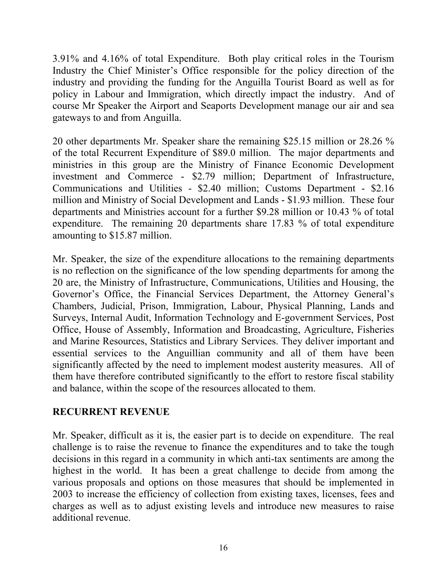3.91% and 4.16% of total Expenditure. Both play critical roles in the Tourism Industry the Chief Minister's Office responsible for the policy direction of the industry and providing the funding for the Anguilla Tourist Board as well as for policy in Labour and Immigration, which directly impact the industry. And of course Mr Speaker the Airport and Seaports Development manage our air and sea gateways to and from Anguilla.

20 other departments Mr. Speaker share the remaining \$25.15 million or 28.26 % of the total Recurrent Expenditure of \$89.0 million. The major departments and ministries in this group are the Ministry of Finance Economic Development investment and Commerce - \$2.79 million; Department of Infrastructure, Communications and Utilities - \$2.40 million; Customs Department - \$2.16 million and Ministry of Social Development and Lands - \$1.93 million. These four departments and Ministries account for a further \$9.28 million or 10.43 % of total expenditure. The remaining 20 departments share 17.83 % of total expenditure amounting to \$15.87 million.

Mr. Speaker, the size of the expenditure allocations to the remaining departments is no reflection on the significance of the low spending departments for among the 20 are, the Ministry of Infrastructure, Communications, Utilities and Housing, the Governor's Office, the Financial Services Department, the Attorney General's Chambers, Judicial, Prison, Immigration, Labour, Physical Planning, Lands and Surveys, Internal Audit, Information Technology and E-government Services, Post Office, House of Assembly, Information and Broadcasting, Agriculture, Fisheries and Marine Resources, Statistics and Library Services. They deliver important and essential services to the Anguillian community and all of them have been significantly affected by the need to implement modest austerity measures. All of them have therefore contributed significantly to the effort to restore fiscal stability and balance, within the scope of the resources allocated to them.

### **RECURRENT REVENUE**

Mr. Speaker, difficult as it is, the easier part is to decide on expenditure. The real challenge is to raise the revenue to finance the expenditures and to take the tough decisions in this regard in a community in which anti-tax sentiments are among the highest in the world. It has been a great challenge to decide from among the various proposals and options on those measures that should be implemented in 2003 to increase the efficiency of collection from existing taxes, licenses, fees and charges as well as to adjust existing levels and introduce new measures to raise additional revenue.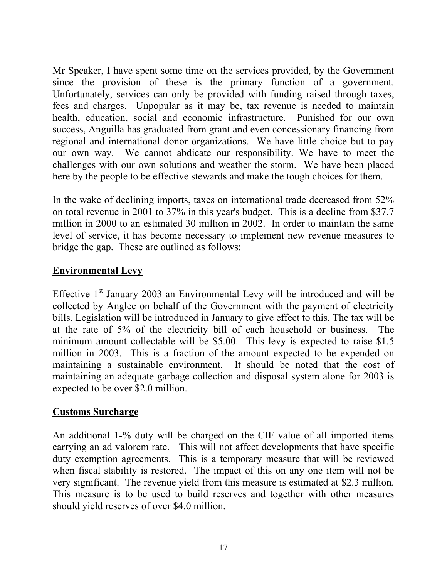Mr Speaker, I have spent some time on the services provided, by the Government since the provision of these is the primary function of a government. Unfortunately, services can only be provided with funding raised through taxes, fees and charges. Unpopular as it may be, tax revenue is needed to maintain health, education, social and economic infrastructure. Punished for our own success, Anguilla has graduated from grant and even concessionary financing from regional and international donor organizations. We have little choice but to pay our own way. We cannot abdicate our responsibility. We have to meet the challenges with our own solutions and weather the storm. We have been placed here by the people to be effective stewards and make the tough choices for them.

In the wake of declining imports, taxes on international trade decreased from 52% on total revenue in 2001 to 37% in this year's budget. This is a decline from \$37.7 million in 2000 to an estimated 30 million in 2002. In order to maintain the same level of service, it has become necessary to implement new revenue measures to bridge the gap. These are outlined as follows:

### **Environmental Levy**

Effective  $1<sup>st</sup>$  January 2003 an Environmental Levy will be introduced and will be collected by Anglec on behalf of the Government with the payment of electricity bills. Legislation will be introduced in January to give effect to this. The tax will be at the rate of 5% of the electricity bill of each household or business. The minimum amount collectable will be \$5.00. This levy is expected to raise \$1.5 million in 2003. This is a fraction of the amount expected to be expended on maintaining a sustainable environment. It should be noted that the cost of maintaining an adequate garbage collection and disposal system alone for 2003 is expected to be over \$2.0 million.

### **Customs Surcharge**

An additional 1-% duty will be charged on the CIF value of all imported items carrying an ad valorem rate. This will not affect developments that have specific duty exemption agreements. This is a temporary measure that will be reviewed when fiscal stability is restored. The impact of this on any one item will not be very significant. The revenue yield from this measure is estimated at \$2.3 million. This measure is to be used to build reserves and together with other measures should yield reserves of over \$4.0 million.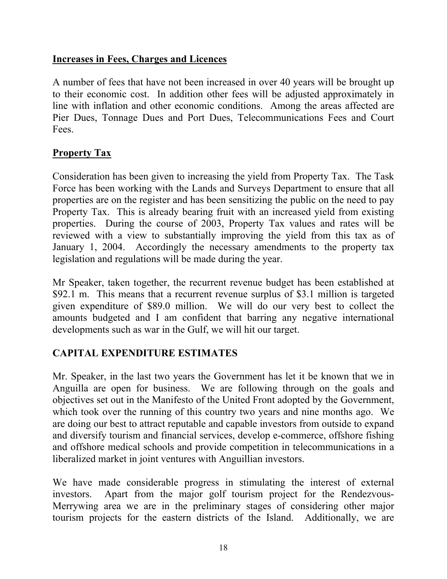### **Increases in Fees, Charges and Licences**

A number of fees that have not been increased in over 40 years will be brought up to their economic cost. In addition other fees will be adjusted approximately in line with inflation and other economic conditions. Among the areas affected are Pier Dues, Tonnage Dues and Port Dues, Telecommunications Fees and Court Fees.

#### **Property Tax**

Consideration has been given to increasing the yield from Property Tax. The Task Force has been working with the Lands and Surveys Department to ensure that all properties are on the register and has been sensitizing the public on the need to pay Property Tax. This is already bearing fruit with an increased yield from existing properties. During the course of 2003, Property Tax values and rates will be reviewed with a view to substantially improving the yield from this tax as of January 1, 2004. Accordingly the necessary amendments to the property tax legislation and regulations will be made during the year.

Mr Speaker, taken together, the recurrent revenue budget has been established at \$92.1 m. This means that a recurrent revenue surplus of \$3.1 million is targeted given expenditure of \$89.0 million. We will do our very best to collect the amounts budgeted and I am confident that barring any negative international developments such as war in the Gulf, we will hit our target.

### **CAPITAL EXPENDITURE ESTIMATES**

Mr. Speaker, in the last two years the Government has let it be known that we in Anguilla are open for business. We are following through on the goals and objectives set out in the Manifesto of the United Front adopted by the Government, which took over the running of this country two years and nine months ago. We are doing our best to attract reputable and capable investors from outside to expand and diversify tourism and financial services, develop e-commerce, offshore fishing and offshore medical schools and provide competition in telecommunications in a liberalized market in joint ventures with Anguillian investors.

We have made considerable progress in stimulating the interest of external investors. Apart from the major golf tourism project for the Rendezvous-Merrywing area we are in the preliminary stages of considering other major tourism projects for the eastern districts of the Island. Additionally, we are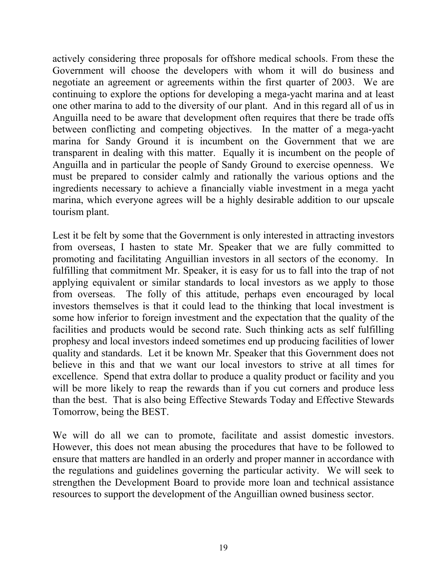actively considering three proposals for offshore medical schools. From these the Government will choose the developers with whom it will do business and negotiate an agreement or agreements within the first quarter of 2003. We are continuing to explore the options for developing a mega-yacht marina and at least one other marina to add to the diversity of our plant. And in this regard all of us in Anguilla need to be aware that development often requires that there be trade offs between conflicting and competing objectives. In the matter of a mega-yacht marina for Sandy Ground it is incumbent on the Government that we are transparent in dealing with this matter. Equally it is incumbent on the people of Anguilla and in particular the people of Sandy Ground to exercise openness. We must be prepared to consider calmly and rationally the various options and the ingredients necessary to achieve a financially viable investment in a mega yacht marina, which everyone agrees will be a highly desirable addition to our upscale tourism plant.

Lest it be felt by some that the Government is only interested in attracting investors from overseas, I hasten to state Mr. Speaker that we are fully committed to promoting and facilitating Anguillian investors in all sectors of the economy. In fulfilling that commitment Mr. Speaker, it is easy for us to fall into the trap of not applying equivalent or similar standards to local investors as we apply to those from overseas. The folly of this attitude, perhaps even encouraged by local investors themselves is that it could lead to the thinking that local investment is some how inferior to foreign investment and the expectation that the quality of the facilities and products would be second rate. Such thinking acts as self fulfilling prophesy and local investors indeed sometimes end up producing facilities of lower quality and standards. Let it be known Mr. Speaker that this Government does not believe in this and that we want our local investors to strive at all times for excellence. Spend that extra dollar to produce a quality product or facility and you will be more likely to reap the rewards than if you cut corners and produce less than the best. That is also being Effective Stewards Today and Effective Stewards Tomorrow, being the BEST.

We will do all we can to promote, facilitate and assist domestic investors. However, this does not mean abusing the procedures that have to be followed to ensure that matters are handled in an orderly and proper manner in accordance with the regulations and guidelines governing the particular activity. We will seek to strengthen the Development Board to provide more loan and technical assistance resources to support the development of the Anguillian owned business sector.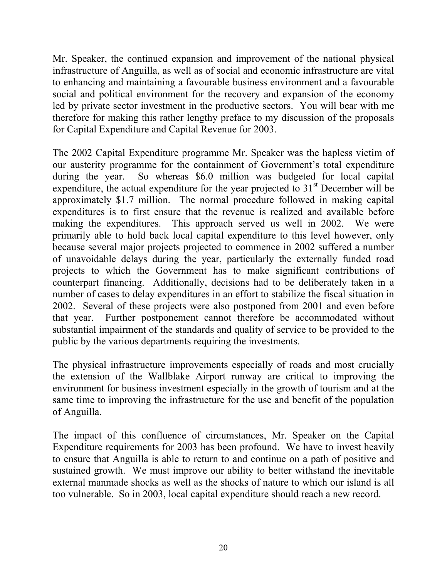Mr. Speaker, the continued expansion and improvement of the national physical infrastructure of Anguilla, as well as of social and economic infrastructure are vital to enhancing and maintaining a favourable business environment and a favourable social and political environment for the recovery and expansion of the economy led by private sector investment in the productive sectors. You will bear with me therefore for making this rather lengthy preface to my discussion of the proposals for Capital Expenditure and Capital Revenue for 2003.

The 2002 Capital Expenditure programme Mr. Speaker was the hapless victim of our austerity programme for the containment of Government's total expenditure during the year. So whereas \$6.0 million was budgeted for local capital expenditure, the actual expenditure for the year projected to  $31<sup>st</sup>$  December will be approximately \$1.7 million. The normal procedure followed in making capital expenditures is to first ensure that the revenue is realized and available before making the expenditures. This approach served us well in 2002. We were primarily able to hold back local capital expenditure to this level however, only because several major projects projected to commence in 2002 suffered a number of unavoidable delays during the year, particularly the externally funded road projects to which the Government has to make significant contributions of counterpart financing. Additionally, decisions had to be deliberately taken in a number of cases to delay expenditures in an effort to stabilize the fiscal situation in 2002. Several of these projects were also postponed from 2001 and even before that year. Further postponement cannot therefore be accommodated without substantial impairment of the standards and quality of service to be provided to the public by the various departments requiring the investments.

The physical infrastructure improvements especially of roads and most crucially the extension of the Wallblake Airport runway are critical to improving the environment for business investment especially in the growth of tourism and at the same time to improving the infrastructure for the use and benefit of the population of Anguilla.

The impact of this confluence of circumstances, Mr. Speaker on the Capital Expenditure requirements for 2003 has been profound. We have to invest heavily to ensure that Anguilla is able to return to and continue on a path of positive and sustained growth. We must improve our ability to better withstand the inevitable external manmade shocks as well as the shocks of nature to which our island is all too vulnerable. So in 2003, local capital expenditure should reach a new record.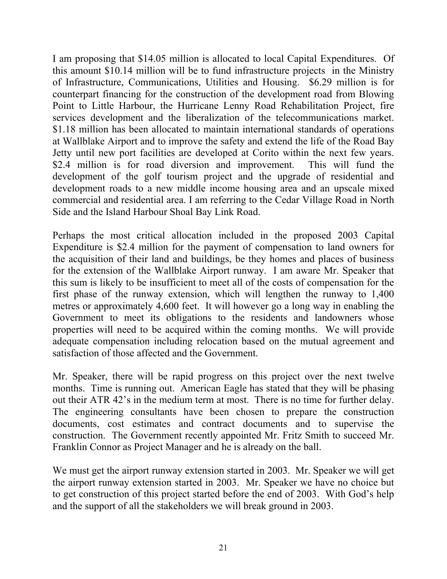I am proposing that \$14.05 million is allocated to local Capital Expenditures. Of this amount \$10.14 million will be to fund infrastructure projects in the Ministry of Infrastructure, Communications, Utilities and Housing. \$6.29 million is for counterpart financing for the construction of the development road from Blowing Point to Little Harbour, the Hurricane Lenny Road Rehabilitation Project, fire services development and the liberalization of the telecommunications market. \$1.18 million has been allocated to maintain international standards of operations at Wallblake Airport and to improve the safety and extend the life of the Road Bay Jetty until new port facilities are developed at Corito within the next few years. \$2.4 million is for road diversion and improvement. This will fund the development of the golf tourism project and the upgrade of residential and development roads to a new middle income housing area and an upscale mixed commercial and residential area. I am referring to the Cedar Village Road in North Side and the Island Harbour Shoal Bay Link Road.

Perhaps the most critical allocation included in the proposed 2003 Capital Expenditure is \$2.4 million for the payment of compensation to land owners for the acquisition of their land and buildings, be they homes and places of business for the extension of the Wallblake Airport runway. I am aware Mr. Speaker that this sum is likely to be insufficient to meet all of the costs of compensation for the first phase of the runway extension, which will lengthen the runway to 1,400 metres or approximately 4,600 feet. It will however go a long way in enabling the Government to meet its obligations to the residents and landowners whose properties will need to be acquired within the coming months. We will provide adequate compensation including relocation based on the mutual agreement and satisfaction of those affected and the Government.

Mr. Speaker, there will be rapid progress on this project over the next twelve months. Time is running out. American Eagle has stated that they will be phasing out their ATR 42's in the medium term at most. There is no time for further delay. The engineering consultants have been chosen to prepare the construction documents, cost estimates and contract documents and to supervise the construction. The Government recently appointed Mr. Fritz Smith to succeed Mr. Franklin Connor as Project Manager and he is already on the ball.

We must get the airport runway extension started in 2003. Mr. Speaker we will get the airport runway extension started in 2003. Mr. Speaker we have no choice but to get construction of this project started before the end of 2003. With God's help and the support of all the stakeholders we will break ground in 2003.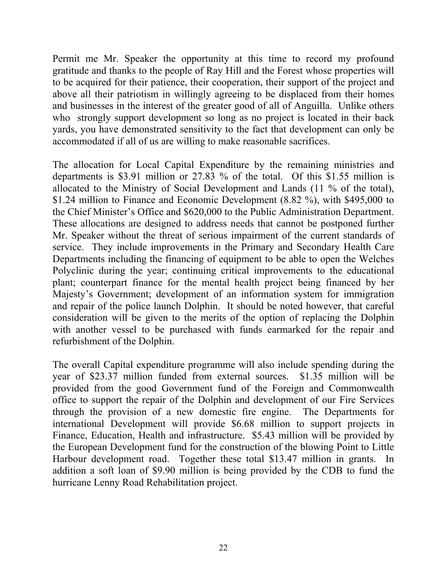Permit me Mr. Speaker the opportunity at this time to record my profound gratitude and thanks to the people of Ray Hill and the Forest whose properties will to be acquired for their patience, their cooperation, their support of the project and above all their patriotism in willingly agreeing to be displaced from their homes and businesses in the interest of the greater good of all of Anguilla. Unlike others who strongly support development so long as no project is located in their back yards, you have demonstrated sensitivity to the fact that development can only be accommodated if all of us are willing to make reasonable sacrifices.

The allocation for Local Capital Expenditure by the remaining ministries and departments is \$3.91 million or 27.83 % of the total. Of this \$1.55 million is allocated to the Ministry of Social Development and Lands (11 % of the total), \$1.24 million to Finance and Economic Development (8.82 %), with \$495,000 to the Chief Minister's Office and \$620,000 to the Public Administration Department. These allocations are designed to address needs that cannot be postponed further Mr. Speaker without the threat of serious impairment of the current standards of service. They include improvements in the Primary and Secondary Health Care Departments including the financing of equipment to be able to open the Welches Polyclinic during the year; continuing critical improvements to the educational plant; counterpart finance for the mental health project being financed by her Majesty's Government; development of an information system for immigration and repair of the police launch Dolphin. It should be noted however, that careful consideration will be given to the merits of the option of replacing the Dolphin with another vessel to be purchased with funds earmarked for the repair and refurbishment of the Dolphin.

The overall Capital expenditure programme will also include spending during the year of \$23.37 million funded from external sources. \$1.35 million will be provided from the good Government fund of the Foreign and Commonwealth office to support the repair of the Dolphin and development of our Fire Services through the provision of a new domestic fire engine. The Departments for international Development will provide \$6.68 million to support projects in Finance, Education, Health and infrastructure. \$5.43 million will be provided by the European Development fund for the construction of the blowing Point to Little Harbour development road. Together these total \$13.47 million in grants. In addition a soft loan of \$9.90 million is being provided by the CDB to fund the hurricane Lenny Road Rehabilitation project.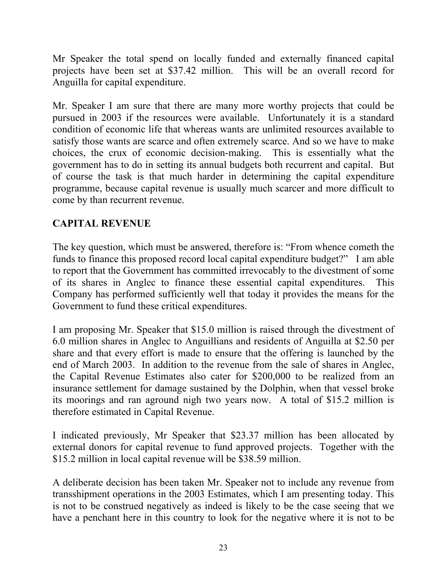Mr Speaker the total spend on locally funded and externally financed capital projects have been set at \$37.42 million. This will be an overall record for Anguilla for capital expenditure.

Mr. Speaker I am sure that there are many more worthy projects that could be pursued in 2003 if the resources were available. Unfortunately it is a standard condition of economic life that whereas wants are unlimited resources available to satisfy those wants are scarce and often extremely scarce. And so we have to make choices, the crux of economic decision-making. This is essentially what the government has to do in setting its annual budgets both recurrent and capital. But of course the task is that much harder in determining the capital expenditure programme, because capital revenue is usually much scarcer and more difficult to come by than recurrent revenue.

### **CAPITAL REVENUE**

The key question, which must be answered, therefore is: "From whence cometh the funds to finance this proposed record local capital expenditure budget?" I am able to report that the Government has committed irrevocably to the divestment of some of its shares in Anglec to finance these essential capital expenditures. This Company has performed sufficiently well that today it provides the means for the Government to fund these critical expenditures.

I am proposing Mr. Speaker that \$15.0 million is raised through the divestment of 6.0 million shares in Anglec to Anguillians and residents of Anguilla at \$2.50 per share and that every effort is made to ensure that the offering is launched by the end of March 2003. In addition to the revenue from the sale of shares in Anglec, the Capital Revenue Estimates also cater for \$200,000 to be realized from an insurance settlement for damage sustained by the Dolphin, when that vessel broke its moorings and ran aground nigh two years now. A total of \$15.2 million is therefore estimated in Capital Revenue.

I indicated previously, Mr Speaker that \$23.37 million has been allocated by external donors for capital revenue to fund approved projects. Together with the \$15.2 million in local capital revenue will be \$38.59 million.

A deliberate decision has been taken Mr. Speaker not to include any revenue from transshipment operations in the 2003 Estimates, which I am presenting today. This is not to be construed negatively as indeed is likely to be the case seeing that we have a penchant here in this country to look for the negative where it is not to be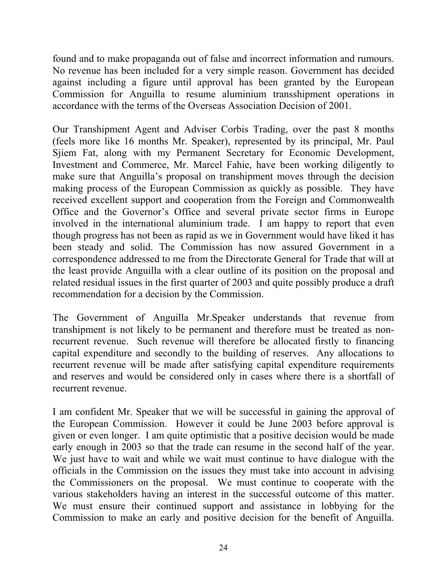found and to make propaganda out of false and incorrect information and rumours. No revenue has been included for a very simple reason. Government has decided against including a figure until approval has been granted by the European Commission for Anguilla to resume aluminium transshipment operations in accordance with the terms of the Overseas Association Decision of 2001.

Our Transhipment Agent and Adviser Corbis Trading, over the past 8 months (feels more like 16 months Mr. Speaker), represented by its principal, Mr. Paul Sjiem Fat, along with my Permanent Secretary for Economic Development, Investment and Commerce, Mr. Marcel Fahie, have been working diligently to make sure that Anguilla's proposal on transhipment moves through the decision making process of the European Commission as quickly as possible. They have received excellent support and cooperation from the Foreign and Commonwealth Office and the Governor's Office and several private sector firms in Europe involved in the international aluminium trade. I am happy to report that even though progress has not been as rapid as we in Government would have liked it has been steady and solid. The Commission has now assured Government in a correspondence addressed to me from the Directorate General for Trade that will at the least provide Anguilla with a clear outline of its position on the proposal and related residual issues in the first quarter of 2003 and quite possibly produce a draft recommendation for a decision by the Commission.

The Government of Anguilla Mr.Speaker understands that revenue from transhipment is not likely to be permanent and therefore must be treated as nonrecurrent revenue. Such revenue will therefore be allocated firstly to financing capital expenditure and secondly to the building of reserves. Any allocations to recurrent revenue will be made after satisfying capital expenditure requirements and reserves and would be considered only in cases where there is a shortfall of recurrent revenue.

I am confident Mr. Speaker that we will be successful in gaining the approval of the European Commission. However it could be June 2003 before approval is given or even longer. I am quite optimistic that a positive decision would be made early enough in 2003 so that the trade can resume in the second half of the year. We just have to wait and while we wait must continue to have dialogue with the officials in the Commission on the issues they must take into account in advising the Commissioners on the proposal. We must continue to cooperate with the various stakeholders having an interest in the successful outcome of this matter. We must ensure their continued support and assistance in lobbying for the Commission to make an early and positive decision for the benefit of Anguilla.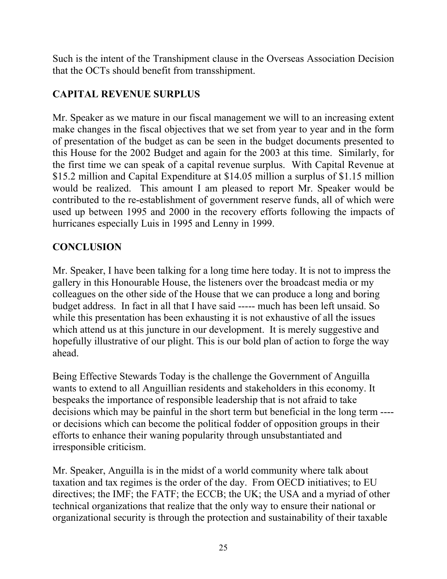Such is the intent of the Transhipment clause in the Overseas Association Decision that the OCTs should benefit from transshipment.

# **CAPITAL REVENUE SURPLUS**

Mr. Speaker as we mature in our fiscal management we will to an increasing extent make changes in the fiscal objectives that we set from year to year and in the form of presentation of the budget as can be seen in the budget documents presented to this House for the 2002 Budget and again for the 2003 at this time. Similarly, for the first time we can speak of a capital revenue surplus. With Capital Revenue at \$15.2 million and Capital Expenditure at \$14.05 million a surplus of \$1.15 million would be realized. This amount I am pleased to report Mr. Speaker would be contributed to the re-establishment of government reserve funds, all of which were used up between 1995 and 2000 in the recovery efforts following the impacts of hurricanes especially Luis in 1995 and Lenny in 1999.

# **CONCLUSION**

Mr. Speaker, I have been talking for a long time here today. It is not to impress the gallery in this Honourable House, the listeners over the broadcast media or my colleagues on the other side of the House that we can produce a long and boring budget address. In fact in all that I have said ----- much has been left unsaid. So while this presentation has been exhausting it is not exhaustive of all the issues which attend us at this juncture in our development. It is merely suggestive and hopefully illustrative of our plight. This is our bold plan of action to forge the way ahead.

Being Effective Stewards Today is the challenge the Government of Anguilla wants to extend to all Anguillian residents and stakeholders in this economy. It bespeaks the importance of responsible leadership that is not afraid to take decisions which may be painful in the short term but beneficial in the long term --- or decisions which can become the political fodder of opposition groups in their efforts to enhance their waning popularity through unsubstantiated and irresponsible criticism.

Mr. Speaker, Anguilla is in the midst of a world community where talk about taxation and tax regimes is the order of the day. From OECD initiatives; to EU directives; the IMF; the FATF; the ECCB; the UK; the USA and a myriad of other technical organizations that realize that the only way to ensure their national or organizational security is through the protection and sustainability of their taxable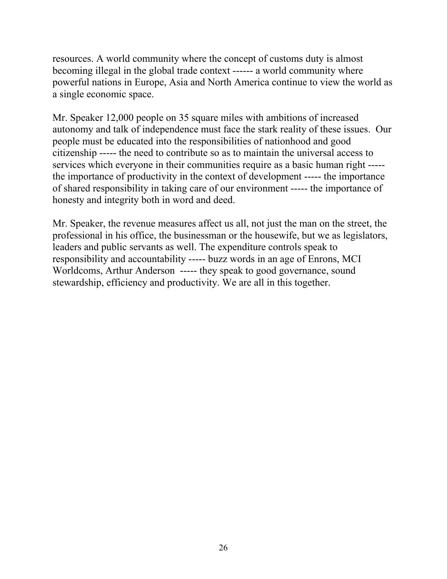resources. A world community where the concept of customs duty is almost becoming illegal in the global trade context ------ a world community where powerful nations in Europe, Asia and North America continue to view the world as a single economic space.

Mr. Speaker 12,000 people on 35 square miles with ambitions of increased autonomy and talk of independence must face the stark reality of these issues. Our people must be educated into the responsibilities of nationhood and good citizenship ----- the need to contribute so as to maintain the universal access to services which everyone in their communities require as a basic human right ---- the importance of productivity in the context of development ----- the importance of shared responsibility in taking care of our environment ----- the importance of honesty and integrity both in word and deed.

Mr. Speaker, the revenue measures affect us all, not just the man on the street, the professional in his office, the businessman or the housewife, but we as legislators, leaders and public servants as well. The expenditure controls speak to responsibility and accountability ----- buzz words in an age of Enrons, MCI Worldcoms, Arthur Anderson ----- they speak to good governance, sound stewardship, efficiency and productivity. We are all in this together.